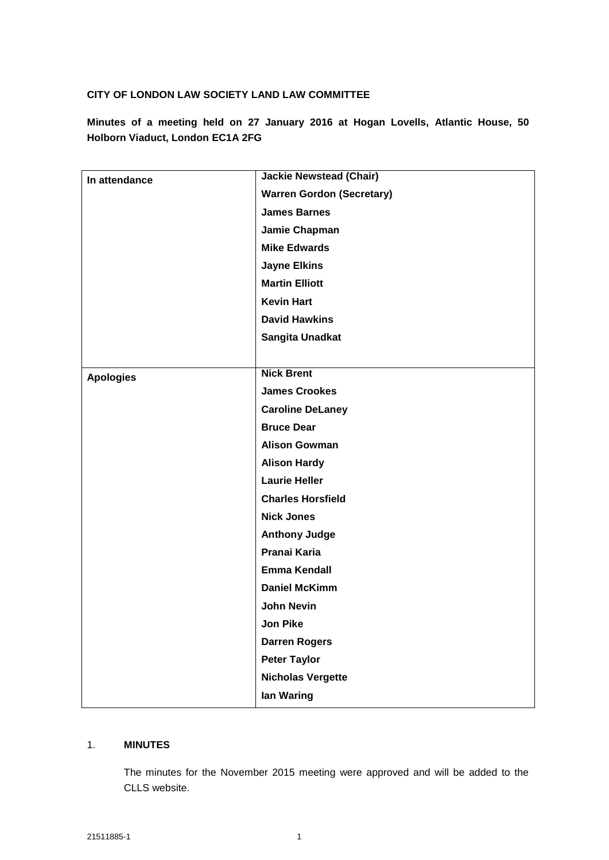# **CITY OF LONDON LAW SOCIETY LAND LAW COMMITTEE**

**Minutes of a meeting held on 27 January 2016 at Hogan Lovells, Atlantic House, 50 Holborn Viaduct, London EC1A 2FG**

| In attendance    | <b>Jackie Newstead (Chair)</b>   |
|------------------|----------------------------------|
|                  | <b>Warren Gordon (Secretary)</b> |
|                  | <b>James Barnes</b>              |
|                  | Jamie Chapman                    |
|                  | <b>Mike Edwards</b>              |
|                  | <b>Jayne Elkins</b>              |
|                  | <b>Martin Elliott</b>            |
|                  | <b>Kevin Hart</b>                |
|                  | <b>David Hawkins</b>             |
|                  | Sangita Unadkat                  |
|                  |                                  |
| <b>Apologies</b> | <b>Nick Brent</b>                |
|                  | <b>James Crookes</b>             |
|                  | <b>Caroline DeLaney</b>          |
|                  | <b>Bruce Dear</b>                |
|                  | <b>Alison Gowman</b>             |
|                  | <b>Alison Hardy</b>              |
|                  | <b>Laurie Heller</b>             |
|                  | <b>Charles Horsfield</b>         |
|                  | <b>Nick Jones</b>                |
|                  | <b>Anthony Judge</b>             |
|                  | Pranai Karia                     |
|                  | <b>Emma Kendall</b>              |
|                  | <b>Daniel McKimm</b>             |
|                  | <b>John Nevin</b>                |
|                  | Jon Pike                         |
|                  | <b>Darren Rogers</b>             |
|                  | <b>Peter Taylor</b>              |
|                  | <b>Nicholas Vergette</b>         |
|                  | lan Waring                       |

# 1. **MINUTES**

The minutes for the November 2015 meeting were approved and will be added to the CLLS website.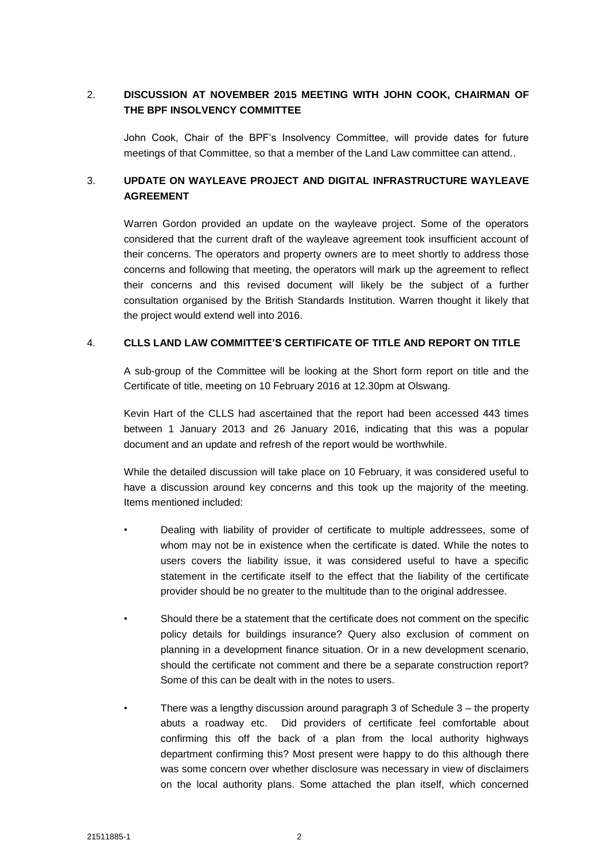# 2. **DISCUSSION AT NOVEMBER 2015 MEETING WITH JOHN COOK, CHAIRMAN OF THE BPF INSOLVENCY COMMITTEE**

John Cook, Chair of the BPF's Insolvency Committee, will provide dates for future meetings of that Committee, so that a member of the Land Law committee can attend..

# 3. **UPDATE ON WAYLEAVE PROJECT AND DIGITAL INFRASTRUCTURE WAYLEAVE AGREEMENT**

Warren Gordon provided an update on the wayleave project. Some of the operators considered that the current draft of the wayleave agreement took insufficient account of their concerns. The operators and property owners are to meet shortly to address those concerns and following that meeting, the operators will mark up the agreement to reflect their concerns and this revised document will likely be the subject of a further consultation organised by the British Standards Institution. Warren thought it likely that the project would extend well into 2016.

#### 4. **CLLS LAND LAW COMMITTEE'S CERTIFICATE OF TITLE AND REPORT ON TITLE**

A sub-group of the Committee will be looking at the Short form report on title and the Certificate of title, meeting on 10 February 2016 at 12.30pm at Olswang.

Kevin Hart of the CLLS had ascertained that the report had been accessed 443 times between 1 January 2013 and 26 January 2016, indicating that this was a popular document and an update and refresh of the report would be worthwhile.

While the detailed discussion will take place on 10 February, it was considered useful to have a discussion around key concerns and this took up the majority of the meeting. Items mentioned included:

- Dealing with liability of provider of certificate to multiple addressees, some of whom may not be in existence when the certificate is dated. While the notes to users covers the liability issue, it was considered useful to have a specific statement in the certificate itself to the effect that the liability of the certificate provider should be no greater to the multitude than to the original addressee.
- Should there be a statement that the certificate does not comment on the specific policy details for buildings insurance? Query also exclusion of comment on planning in a development finance situation. Or in a new development scenario, should the certificate not comment and there be a separate construction report? Some of this can be dealt with in the notes to users.
- There was a lengthy discussion around paragraph 3 of Schedule 3 the property abuts a roadway etc. Did providers of certificate feel comfortable about confirming this off the back of a plan from the local authority highways department confirming this? Most present were happy to do this although there was some concern over whether disclosure was necessary in view of disclaimers on the local authority plans. Some attached the plan itself, which concerned